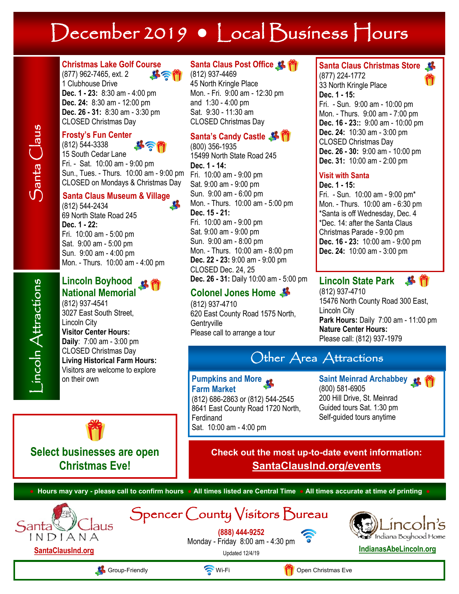# December 2019 **•** Local Business Hours

### **Christmas Lake Golf Course**

(877) 962-7465, ext. 2 ホミ 1 Clubhouse Drive **Dec. 1 - 23:** 8:30 am - 4:00 pm **Dec. 24:** 8:30 am - 12:00 pm

**Dec. 26 - 31:** 8:30 am - 3:30 pm CLOSED Christmas Day

#### **Frosty's Fun Center** (812) 544-3338

15 South Cedar Lane Fri. - Sat. 10:00 am - 9:00 pm Sun., Tues. - Thurs. 10:00 am - 9:00 pm CLOSED on Mondays & Christmas Day

### **Santa Claus Museum & Village**

(812) 544-2434 69 North State Road 245 **Dec. 1 - 22:** Fri. 10:00 am - 5:00 pm Sat. 9:00 am - 5:00 pm Sun. 9:00 am - 4:00 pm Mon. - Thurs. 10:00 am - 4:00 pm

### Lincoln Boyhood **<sub>路</sub> 卷 National Memorial**

(812) 937-4541 3027 East South Street, Lincoln City **Visitor Center Hours: Daily**: 7:00 am - 3:00 pm CLOSED Christmas Day **Living Historical Farm Hours:** Visitors are welcome to explore on their own

### **Santa Claus Post Office**

(812) 937-4469 45 North Kringle Place Mon. - Fri. 9:00 am - 12:30 pm and 1:30 - 4:00 pm Sat. 9:30 - 11:30 am CLOSED Christmas Day

## **Santa's Candy Castle**

(800) 356-1935 15499 North State Road 245 **Dec. 1 - 14:** Fri. 10:00 am - 9:00 pm Sat. 9:00 am - 9:00 pm Sun. 9:00 am - 6:00 pm Mon. - Thurs. 10:00 am - 5:00 pm **Dec. 15 - 21:** Fri. 10:00 am - 9:00 pm Sat. 9:00 am - 9:00 pm Sun. 9:00 am - 8:00 pm Mon. - Thurs. 10:00 am - 8:00 pm **Dec. 22 - 23:** 9:00 am - 9:00 pm CLOSED Dec. 24, 25 **Dec. 26 - 31:** Daily 10:00 am - 5:00 pm

## **Colonel Jones Home**

(812) 937-4710 620 East County Road 1575 North, **Gentryville** Please call to arrange a tour

## **Santa Claus Christmas Store**

(877) 224-1772 33 North Kringle Place **Dec. 1 - 15:** Fri. - Sun. 9:00 am - 10:00 pm Mon. - Thurs. 9:00 am - 7:00 pm **Dec. 16 - 23::** 9:00 am - 10:00 pm **Dec. 24:** 10:30 am - 3:00 pm CLOSED Christmas Day **Dec. 26 - 30:** 9:00 am - 10:00 pm **Dec. 31:** 10:00 am - 2:00 pm

#### **Visit with Santa**

**Dec. 1 - 15:**  Fri. - Sun. 10:00 am - 9:00 pm\* Mon. - Thurs. 10:00 am - 6:30 pm \*Santa is off Wednesday, Dec. 4 \*Dec. 14: after the Santa Claus Christmas Parade - 9:00 pm **Dec. 16 - 23:** 10:00 am - 9:00 pm **Dec. 24:** 10:00 am - 3:00 pm

#### **Lincoln State Park**   $\mathbf{B}$

(812) 937-4710 15476 North County Road 300 East, Lincoln City **Park Hours:** Daily 7:00 am - 11:00 pm **Nature Center Hours:**  Please call: (812) 937-1979

## Other Area Attractions

#### **Pumpkins and More Farm Market**

(812) 686-2863 or (812) 544-2545 8641 East County Road 1720 North, Ferdinand Sat. 10:00 am - 4:00 pm

**Saint Meinrad Archabbey & PA** (800) 581-6905 200 Hill Drive, St. Meinrad Guided tours Sat. 1:30 pm Self-guided tours anytime



**Select businesses are open Christmas Eve!**

 $AIIS$ 

**Check out the most up-to-date event information: SantaClausInd.org/events**

**● Hours may vary - please call to confirm hours ● All times listed are Central Time ● All times accurate at time of printing ●** Spencer County Visitors Bureau **(888) 444-9252** Indiana Boyhood Home Monday - Friday 8:00 am - 4:30 pm Updated 12/4/19 **[IndianasAbeLincoln.org](http://www.IndianasAbeLincoln.org)**

**[SantaClausInd.org](http://www.santaclausind.org)**

INDIANA

Group-Friendly **Communist Communist Communist Communist Communist Communist Communist Communist Communist Communist Communist Communist Communist Communist Communist Communist Communist Communist Communist Communist Commun** 

Santa

Santa Claus

 $\mathfrak{S}$ anta  $\mathsf{Class}$